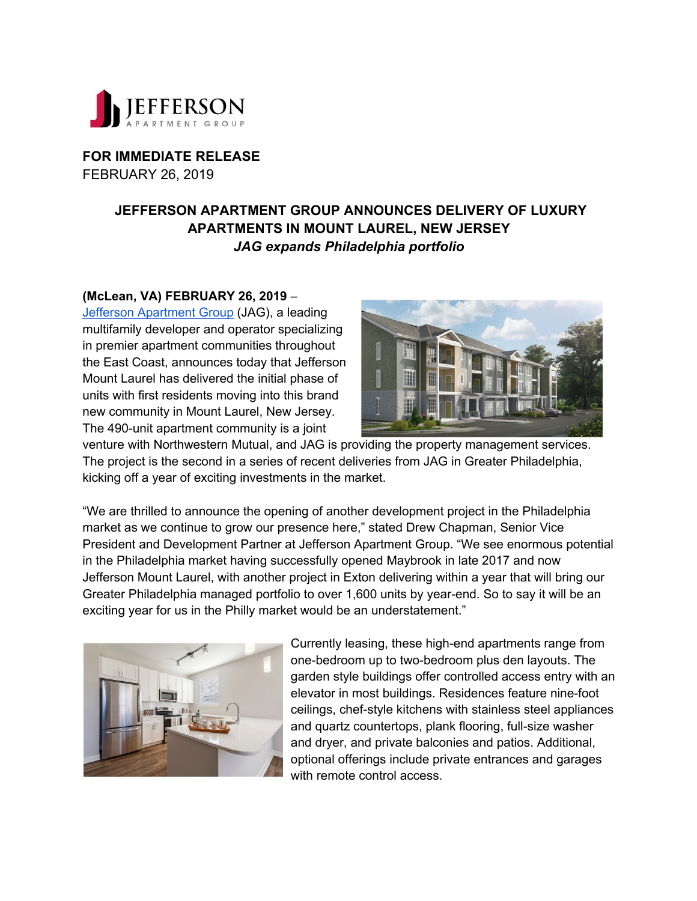

**FOR IMMEDIATE RELEASE** FEBRUARY 26, 2019

## **JEFFERSON APARTMENT GROUP ANNOUNCES DELIVERY OF LUXURY APARTMENTS IN MOUNT LAUREL, NEW JERSEY** *JAG expands Philadelphia portfolio*

## **(McLean, VA) FEBRUARY 26, 2019** –

Jefferson Apartment Group (JAG), a leading multifamily developer and operator specializing in premier apartment communities throughout the East Coast, announces today that Jefferson Mount Laurel has delivered the initial phase of units with first residents moving into this brand new community in Mount Laurel, New Jersey. The 490-unit apartment community is a joint



venture with Northwestern Mutual, and JAG is providing the property management services. The project is the second in a series of recent deliveries from JAG in Greater Philadelphia, kicking off a year of exciting investments in the market.

"We are thrilled to announce the opening of another development project in the Philadelphia market as we continue to grow our presence here," stated Drew Chapman, Senior Vice President and Development Partner at Jefferson Apartment Group. "We see enormous potential in the Philadelphia market having successfully opened Maybrook in late 2017 and now Jefferson Mount Laurel, with another project in Exton delivering within a year that will bring our Greater Philadelphia managed portfolio to over 1,600 units by year-end. So to say it will be an exciting year for us in the Philly market would be an understatement."



Currently leasing, these high-end apartments range from one-bedroom up to two-bedroom plus den layouts. The garden style buildings offer controlled access entry with an elevator in most buildings. Residences feature nine-foot ceilings, chef-style kitchens with stainless steel appliances and quartz countertops, plank flooring, full-size washer and dryer, and private balconies and patios. Additional, optional offerings include private entrances and garages with remote control access.